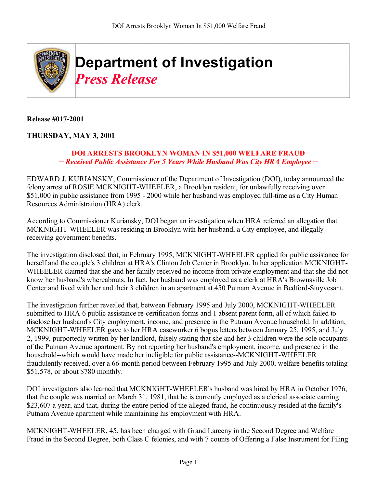

**Release #017-2001** 

## **THURSDAY, MAY 3, 2001**

## **DOI ARRESTS BROOKLYN WOMAN IN \$51,000 WELFARE FRAUD --** *Received Public Assistance For 5 Years While Husband Was City HRA Employee* **--**

EDWARD J. KURIANSKY, Commissioner of the Department of Investigation (DOI), today announced the felony arrest of ROSIE MCKNIGHT-WHEELER, a Brooklyn resident, for unlawfully receiving over \$51,000 in public assistance from 1995 - 2000 while her husband was employed full-time as a City Human Resources Administration (HRA) clerk.

According to Commissioner Kuriansky, DOI began an investigation when HRA referred an allegation that MCKNIGHT-WHEELER was residing in Brooklyn with her husband, a City employee, and illegally receiving government benefits.

The investigation disclosed that, in February 1995, MCKNIGHT-WHEELER applied for public assistance for herself and the couple's 3 children at HRA's Clinton Job Center in Brooklyn. In her application MCKNIGHT-WHEELER claimed that she and her family received no income from private employment and that she did not know her husband's whereabouts. In fact, her husband was employed as a clerk at HRA's Brownsville Job Center and lived with her and their 3 children in an apartment at 450 Putnam Avenue in Bedford-Stuyvesant.

The investigation further revealed that, between February 1995 and July 2000, MCKNIGHT-WHEELER submitted to HRA 6 public assistance re-certification forms and 1 absent parent form, all of which failed to disclose her husband's City employment, income, and presence in the Putnam Avenue household. In addition, MCKNIGHT-WHEELER gave to her HRA caseworker 6 bogus letters between January 25, 1995, and July 2, 1999, purportedly written by her landlord, falsely stating that she and her 3 children were the sole occupants of the Putnam Avenue apartment. By not reporting her husband's employment, income, and presence in the household--which would have made her ineligible for public assistance--MCKNIGHT-WHEELER fraudulently received, over a 66-month period between February 1995 and July 2000, welfare benefits totaling \$51,578, or about \$780 monthly.

DOI investigators also learned that MCKNIGHT-WHEELER's husband was hired by HRA in October 1976, that the couple was married on March 31, 1981, that he is currently employed as a clerical associate earning \$23,607 a year, and that, during the entire period of the alleged fraud, he continuously resided at the family's Putnam Avenue apartment while maintaining his employment with HRA.

MCKNIGHT-WHEELER, 45, has been charged with Grand Larceny in the Second Degree and Welfare Fraud in the Second Degree, both Class C felonies, and with 7 counts of Offering a False Instrument for Filing